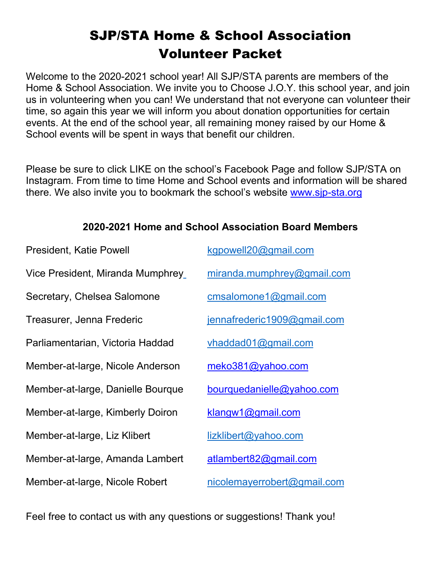## SJP/STA Home & School Association Volunteer Packet

Welcome to the 2020-2021 school year! All SJP/STA parents are members of the Home & School Association. We invite you to Choose J.O.Y. this school year, and join us in volunteering when you can! We understand that not everyone can volunteer their time, so again this year we will inform you about donation opportunities for certain events. At the end of the school year, all remaining money raised by our Home & School events will be spent in ways that benefit our children.

Please be sure to click LIKE on the school's Facebook Page and follow SJP/STA on Instagram. From time to time Home and School events and information will be shared there. We also invite you to bookmark the school's website [www.sjp-sta.org](http://www.sjp-sta.org/)

| <b>President, Katie Powell</b>    | kgpowell20@gmail.com        |
|-----------------------------------|-----------------------------|
| Vice President, Miranda Mumphrey_ | miranda.mumphrey@gmail.com  |
| Secretary, Chelsea Salomone       | cmsalomone1@gmail.com       |
| Treasurer, Jenna Frederic         | jennafrederic1909@gmail.com |
| Parliamentarian, Victoria Haddad  | vhaddad01@gmail.com         |
| Member-at-large, Nicole Anderson  | meko381@yahoo.com           |
| Member-at-large, Danielle Bourque | bourquedanielle@yahoo.com   |
| Member-at-large, Kimberly Doiron  | klangw1@gmail.com           |
| Member-at-large, Liz Klibert      | lizklibert@yahoo.com        |
| Member-at-large, Amanda Lambert   | atlambert82@gmail.com       |
| Member-at-large, Nicole Robert    | nicolemayerrobert@gmail.com |

#### **2020-2021 Home and School Association Board Members**

Feel free to contact us with any questions or suggestions! Thank you!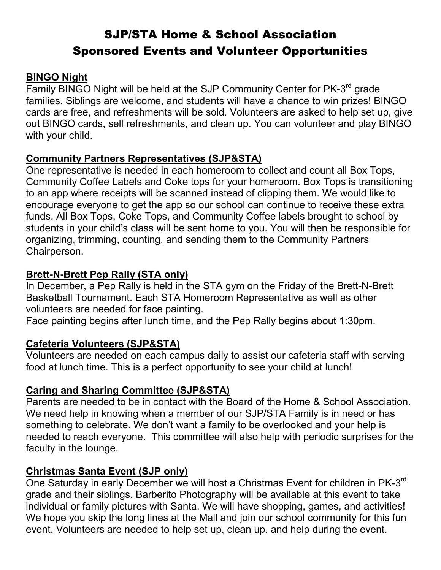### SJP/STA Home & School Association Sponsored Events and Volunteer Opportunities

#### **BINGO Night**

Family BINGO Night will be held at the SJP Community Center for PK-3<sup>rd</sup> grade families. Siblings are welcome, and students will have a chance to win prizes! BINGO cards are free, and refreshments will be sold. Volunteers are asked to help set up, give out BINGO cards, sell refreshments, and clean up. You can volunteer and play BINGO with your child.

#### **Community Partners Representatives (SJP&STA)**

One representative is needed in each homeroom to collect and count all Box Tops, Community Coffee Labels and Coke tops for your homeroom. Box Tops is transitioning to an app where receipts will be scanned instead of clipping them. We would like to encourage everyone to get the app so our school can continue to receive these extra funds. All Box Tops, Coke Tops, and Community Coffee labels brought to school by students in your child's class will be sent home to you. You will then be responsible for organizing, trimming, counting, and sending them to the Community Partners Chairperson.

#### **Brett-N-Brett Pep Rally (STA only)**

In December, a Pep Rally is held in the STA gym on the Friday of the Brett-N-Brett Basketball Tournament. Each STA Homeroom Representative as well as other volunteers are needed for face painting.

Face painting begins after lunch time, and the Pep Rally begins about 1:30pm.

#### **Cafeteria Volunteers (SJP&STA)**

Volunteers are needed on each campus daily to assist our cafeteria staff with serving food at lunch time. This is a perfect opportunity to see your child at lunch!

#### **Caring and Sharing Committee (SJP&STA)**

Parents are needed to be in contact with the Board of the Home & School Association. We need help in knowing when a member of our SJP/STA Family is in need or has something to celebrate. We don't want a family to be overlooked and your help is needed to reach everyone. This committee will also help with periodic surprises for the faculty in the lounge.

#### **Christmas Santa Event (SJP only)**

One Saturday in early December we will host a Christmas Event for children in PK-3<sup>rd</sup> grade and their siblings. Barberito Photography will be available at this event to take individual or family pictures with Santa. We will have shopping, games, and activities! We hope you skip the long lines at the Mall and join our school community for this fun event. Volunteers are needed to help set up, clean up, and help during the event.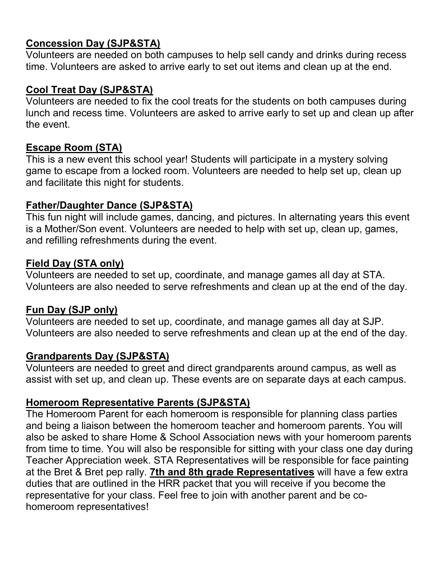#### **Concession Day (SJP&STA)**

Volunteers are needed on both campuses to help sell candy and drinks during recess time. Volunteers are asked to arrive early to set out items and clean up at the end.

#### **Cool Treat Day (SJP&STA)**

Volunteers are needed to fix the cool treats for the students on both campuses during lunch and recess time. Volunteers are asked to arrive early to set up and clean up after the event.

#### **Escape Room (STA)**

This is a new event this school year! Students will participate in a mystery solving game to escape from a locked room. Volunteers are needed to help set up, clean up and facilitate this night for students.

#### **Father/Daughter Dance (SJP&STA)**

This fun night will include games, dancing, and pictures. In alternating years this event is a Mother/Son event. Volunteers are needed to help with set up, clean up, games, and refilling refreshments during the event.

#### **Field Day (STA only)**

Volunteers are needed to set up, coordinate, and manage games all day at STA. Volunteers are also needed to serve refreshments and clean up at the end of the day.

#### **Fun Day (SJP only)**

Volunteers are needed to set up, coordinate, and manage games all day at SJP. Volunteers are also needed to serve refreshments and clean up at the end of the day.

#### **Grandparents Day (SJP&STA)**

Volunteers are needed to greet and direct grandparents around campus, as well as assist with set up, and clean up. These events are on separate days at each campus.

#### **Homeroom Representative Parents (SJP&STA)**

The Homeroom Parent for each homeroom is responsible for planning class parties and being a liaison between the homeroom teacher and homeroom parents. You will also be asked to share Home & School Association news with your homeroom parents from time to time. You will also be responsible for sitting with your class one day during Teacher Appreciation week. STA Representatives will be responsible for face painting at the Bret & Bret pep rally. **7th and 8th grade Representatives** will have a few extra duties that are outlined in the HRR packet that you will receive if you become the representative for your class. Feel free to join with another parent and be cohomeroom representatives!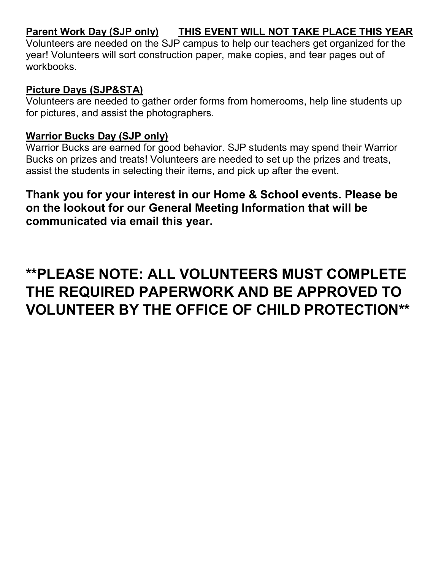#### **Parent Work Day (SJP only) THIS EVENT WILL NOT TAKE PLACE THIS YEAR**

Volunteers are needed on the SJP campus to help our teachers get organized for the year! Volunteers will sort construction paper, make copies, and tear pages out of workbooks.

#### **Picture Days (SJP&STA)**

Volunteers are needed to gather order forms from homerooms, help line students up for pictures, and assist the photographers.

#### **Warrior Bucks Day (SJP only)**

Warrior Bucks are earned for good behavior. SJP students may spend their Warrior Bucks on prizes and treats! Volunteers are needed to set up the prizes and treats, assist the students in selecting their items, and pick up after the event.

### **Thank you for your interest in our Home & School events. Please be on the lookout for our General Meeting Information that will be communicated via email this year.**

# **\*\*PLEASE NOTE: ALL VOLUNTEERS MUST COMPLETE THE REQUIRED PAPERWORK AND BE APPROVED TO VOLUNTEER BY THE OFFICE OF CHILD PROTECTION\*\***